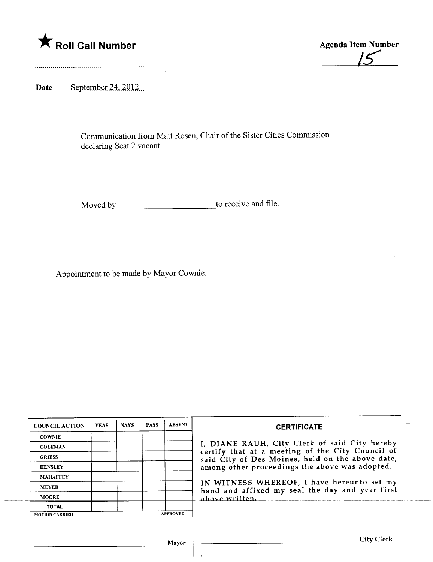**Example 2018** Roll Call Number Agenda Item Number Agenda Item Number

Date  $\frac{\text{September }24,2012...}{\text{September }24,2012...}$ 

Communication from Matt Rosen, Chair of the Sister Cities Commission declaring Seat 2 vacant.

Moved by to receive and fie.

Appointment to be made by Mayor Cownie.

| <b>COUNCIL ACTION</b> | <b>YEAS</b> | <b>NAYS</b> | <b>PASS</b> | <b>ABSENT</b>   | <b>CERTIFICATE</b>                                                                                 |  |  |  |
|-----------------------|-------------|-------------|-------------|-----------------|----------------------------------------------------------------------------------------------------|--|--|--|
| <b>COWNIE</b>         |             |             |             |                 |                                                                                                    |  |  |  |
| <b>COLEMAN</b>        |             |             |             |                 | I, DIANE RAUH, City Clerk of said City hereby<br>certify that at a meeting of the City Council of  |  |  |  |
| <b>GRIESS</b>         |             |             |             |                 | said City of Des Moines, held on the above date,<br>among other proceedings the above was adopted. |  |  |  |
| <b>HENSLEY</b>        |             |             |             |                 |                                                                                                    |  |  |  |
| <b>MAHAFFEY</b>       |             |             |             |                 |                                                                                                    |  |  |  |
| <b>MEYER</b>          |             |             |             |                 | IN WITNESS WHEREOF, I have hereunto set my<br>hand and affixed my seal the day and year first      |  |  |  |
| <b>MOORE</b>          |             |             |             |                 | above written.                                                                                     |  |  |  |
| <b>TOTAL</b>          |             |             |             |                 |                                                                                                    |  |  |  |
| <b>MOTION CARRIED</b> |             |             |             | <b>APPROVED</b> |                                                                                                    |  |  |  |
|                       |             |             |             |                 |                                                                                                    |  |  |  |
|                       |             |             |             | Mayor           | City Clerk                                                                                         |  |  |  |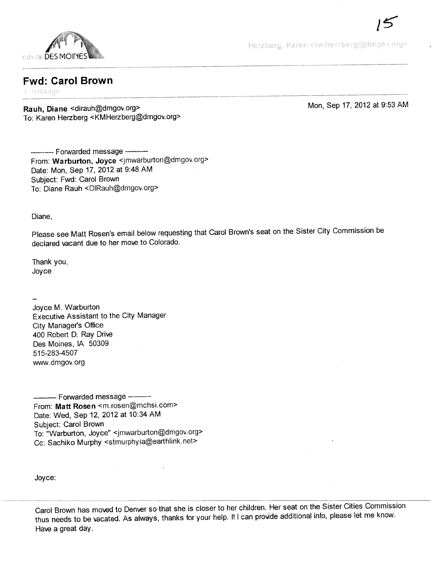

Herzberg, Karen <kmherzberg@dmgov.org>

## **Fwd: Carol Brown**

1 message

Rauh, Diane < dirauh@dmgov.org> To: Karen Herzberg < KMHerzberg@dmgov.org> Mon, Sep 17, 2012 at 9:53 AM

/s

------- Forwarded message ---------From: Warburton, Joyce <jmwarburton@dmgov.org> Date: Mon, Sep 17, 2012 at 9:48 AM Subject: Fwd: Carol Brown To: Diane Rauh <DIRauh@dmgov.org>

Diane,

Please see Matt Rosen's email below requesting that Carol Brown's seat on the Sister City Commission be declared vacant due to her move to Colorado.

Thank you, Joyce

Joyce M. Warburton Executive Assistant to the City Manager City Manager's Office 400 Robert D. Ray Drive Des Moines, IA 50309 515-283-4507 ww.dmgov.org

----------- Forwarded message ------From: Matt Rosen <m.rosen@mchsi.com> Date: Wed, Sep 12, 2012 at 10:34 AM Subject: Carol Brown To: "Warburton, Joyce" <jmwarburton@dmgov.org> Cc: Sachiko Murphy <stmurphyia@earthlink.net>

Joyce:

Carol Brown has moved to Denver so that she is closer to her children. Her seat on the Sister Cities Commission thus needs to be vacated. As always, thanks for your help. If i can provide additional info, please let me know. Have a great day.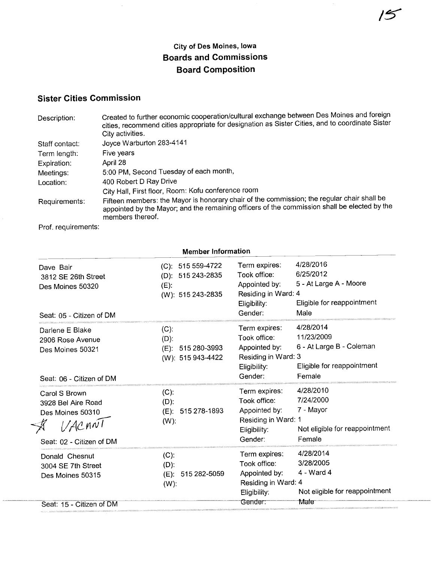## City of Des Moines, Iowa Boards and Commissions Board Composition

## Sister Cities Commission

| Description:   | Created to further economic cooperation/cultural exchange between Des Moines and foreign<br>cities, recommend cities appropriate for designation as Sister Cities, and to coordinate Sister<br>City activities. |
|----------------|-----------------------------------------------------------------------------------------------------------------------------------------------------------------------------------------------------------------|
| Staff contact: | Joyce Warburton 283-4141                                                                                                                                                                                        |
| Term length:   | Five years                                                                                                                                                                                                      |
| Expiration:    | April 28                                                                                                                                                                                                        |
| Meetings:      | 5:00 PM, Second Tuesday of each month,                                                                                                                                                                          |
| Location:      | 400 Robert D Ray Drive                                                                                                                                                                                          |
|                | City Hall, First floor, Room: Kofu conference room                                                                                                                                                              |
| Requirements:  | Fifteen members: the Mayor is honorary chair of the commission; the regular chair shall be<br>appointed by the Mayor; and the remaining officers of the commission shall be elected by the<br>members thereof.  |

Prof. requirements:

| <b>Member Information</b>                                                                     |                                                                        |                                                                                                  |                                                                                             |  |
|-----------------------------------------------------------------------------------------------|------------------------------------------------------------------------|--------------------------------------------------------------------------------------------------|---------------------------------------------------------------------------------------------|--|
| Dave Bair<br>3812 SE 26th Street<br>Des Moines 50320<br>Seat: 05 - Citizen of DM              | (C): 515 559-4722<br>(D): 515 243-2835<br>$(E)$ :<br>(W): 515 243-2835 | Term expires:<br>Took office:<br>Appointed by:<br>Residing in Ward: 4<br>Eligibility:<br>Gender: | 4/28/2016<br>6/25/2012<br>5 - At Large A - Moore<br>Eligible for reappointment<br>Male      |  |
| Darlene E Blake<br>2906 Rose Avenue<br>Des Moines 50321<br>Seat: 06 - Citizen of DM           | (C).<br>$(D)$ :<br>(E): 515 280-3993<br>(W): 515 943-4422              | Term expires:<br>Took office:<br>Appointed by:<br>Residing in Ward: 3<br>Eligibility:<br>Gender: | 4/28/2014<br>11/23/2009<br>6 - At Large B - Coleman<br>Eligible for reappointment<br>Female |  |
| Carol S Brown<br>3928 Bel Aire Road<br>Des Moines 50310<br>1/ACAN<br>Seat: 02 - Citizen of DM | $(C)$ :<br>$(D)$ :<br>(E): 515 278-1893<br>$(W)$ :                     | Term expires:<br>Took office:<br>Appointed by:<br>Residing in Ward: 1<br>Eligibility:<br>Gender: | 4/28/2010<br>7/24/2000<br>7 - Mayor<br>Not eligible for reappointment<br>Female             |  |
| Donald Chesnut<br>3004 SE 7th Street<br>Des Moines 50315<br>Seat: 15 - Citizen of DM          | $(C)$ :<br>$(D)$ :<br>(E): 515 282-5059<br>$(W)$ :                     | Term expires:<br>Took office:<br>Appointed by:<br>Residing in Ward: 4<br>Eligibility:<br>Gender: | 4/28/2014<br>3/28/2005<br>4 - Ward 4<br>Not eligible for reappointment<br>Male              |  |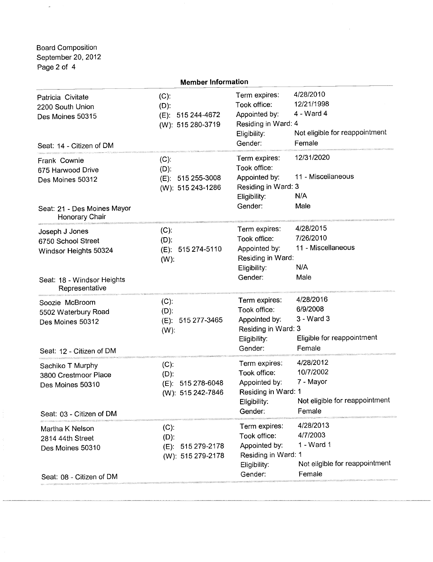Board Composition September 20,2012 Page 2 of 4

L.

| <b>Member Information</b>                                                                                     |                                                                 |                                                                                                  |                                                                                   |  |
|---------------------------------------------------------------------------------------------------------------|-----------------------------------------------------------------|--------------------------------------------------------------------------------------------------|-----------------------------------------------------------------------------------|--|
| Patricia Civitate<br>2200 South Union<br>Des Moines 50315<br>Seat: 14 - Citizen of DM                         | $(C)$ :<br>$(D)$ :<br>(E): 515 244-4672<br>(W): 515 280-3719    | Term expires:<br>Took office:<br>Appointed by:<br>Residing in Ward: 4<br>Eligibility:<br>Gender: | 4/28/2010<br>12/21/1998<br>4 - Ward 4<br>Not eligible for reappointment<br>Female |  |
| Frank Cownie<br>675 Harwood Drive<br>Des Moines 50312<br>Seat: 21 - Des Moines Mayor<br>Honorary Chair        | $(C)$ :<br>$(D)$ :<br>(E): 515 255-3008<br>(W): 515 243-1286    | Term expires:<br>Took office:<br>Appointed by:<br>Residing in Ward: 3<br>Eligibility:<br>Gender: | 12/31/2020<br>11 - Miscellaneous<br>N/A<br>Male                                   |  |
| Joseph J Jones<br>6750 School Street<br>Windsor Heights 50324<br>Seat: 18 - Windsor Heights<br>Representative | $(C)$ :<br>$(D)$ :<br>(E): 515 274-5110<br>$(W)$ :              | Term expires:<br>Took office:<br>Appointed by:<br>Residing in Ward:<br>Eligibility:<br>Gender:   | 4/28/2015<br>7/26/2010<br>11 - Miscellaneous<br>N/A<br>Male                       |  |
| Soozie McBroom<br>5502 Waterbury Road<br>Des Moines 50312<br>Seat: 12 - Citizen of DM                         | $(C)$ :<br>$(D)$ :<br>(E): 515 277-3465<br>$(W)$ :              | Term expires:<br>Took office:<br>Appointed by:<br>Residing in Ward: 3<br>Eligibility:<br>Gender: | 4/28/2016<br>6/9/2008<br>3 - Ward 3<br>Eligible for reappointment<br>Female       |  |
| Sachiko T Murphy<br>3800 Crestmoor Place<br>Des Moines 50310<br>Seat: 03 - Citizen of DM                      | $(C)$ :<br>$(D)$ :<br>(E): 515 278-6048<br>(W): 515 242-7846    | Term expires:<br>Took office:<br>Appointed by:<br>Residing in Ward: 1<br>Eligibility:<br>Gender: | 4/28/2012<br>10/7/2002<br>7 - Mayor<br>Not eligible for reappointment<br>Female   |  |
| Martha K Nelson<br>2814 44th Street<br>Des Moines 50310<br>Seat: 08 - Citizen of DM                           | $(C)$ :<br>$(D)$ :<br>515 279-2178<br>(E):<br>(W): 515 279-2178 | Term expires:<br>Took office:<br>Appointed by:<br>Residing in Ward: 1<br>Eligibility:<br>Gender: | 4/28/2013<br>4/7/2003<br>1 - Ward 1<br>Not eligible for reappointment<br>Female   |  |
|                                                                                                               |                                                                 |                                                                                                  |                                                                                   |  |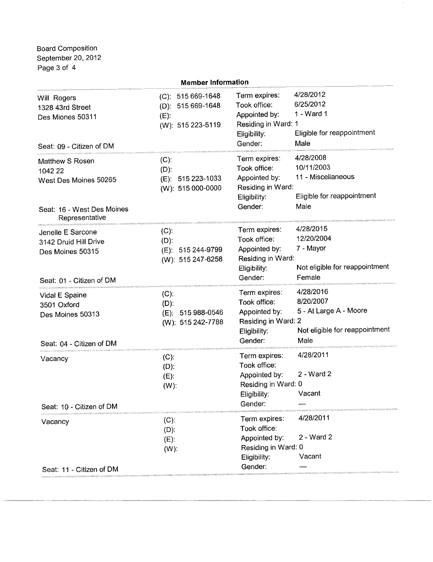Board Composition September 20, 2012 Page 3 of 4

| <b>Member Information</b>                                                                           |                                                                        |                                                                                                  |                                                                                            |  |
|-----------------------------------------------------------------------------------------------------|------------------------------------------------------------------------|--------------------------------------------------------------------------------------------------|--------------------------------------------------------------------------------------------|--|
| Will Rogers<br>1328 43rd Street<br>Des Miones 50311<br>Seat: 09 - Citizen of DM                     | (C): 515 669-1648<br>(D): 515 669-1648<br>$(E)$ :<br>(W): 515 223-5119 | Term expires:<br>Took office:<br>Appointed by:<br>Residing in Ward: 1<br>Eligibility:<br>Gender: | 4/28/2012<br>6/25/2012<br>1 - Ward 1<br>Eligible for reappointment<br>Male                 |  |
| Matthew S Rosen<br>1042 22<br>West Des Moines 50265<br>Seat: 16 - West Des Moines<br>Representative | $(C)$ :<br>$(D)$ :<br>(E): 515 223-1033<br>(W): 515 000-0000           | Term expires:<br>Took office:<br>Appointed by:<br>Residing in Ward:<br>Eligibility:<br>Gender:   | 4/28/2008<br>10/11/2003<br>11 - Miscellaneous<br>Eligible for reappointment<br>Male        |  |
| Jenelle E Sarcone<br>3142 Druid Hill Drive<br>Des Moines 50315<br>Seat: 01 - Citizen of DM          | $(C)$ :<br>$(D)$ :<br>(E): 515 244-9799<br>(W): 515 247-6258           | Term expires:<br>Took office:<br>Appointed by:<br>Residing in Ward:<br>Eligibility:<br>Gender:   | 4/28/2015<br>12/20/2004<br>7 - Mayor<br>Not eligible for reappointment<br>Female           |  |
| Vidal E Spaine<br>3501 Oxford<br>Des Moines 50313<br>Seat: 04 - Citizen of DM                       | $(C)$ :<br>$(D)$ :<br>(E): 515 988-0546<br>(W): 515 242-7788           | Term expires:<br>Took office:<br>Appointed by:<br>Residing in Ward: 2<br>Eligibility:<br>Gender: | 4/28/2016<br>8/20/2007<br>5 - At Large A - Moore<br>Not eligible for reappointment<br>Male |  |
| Vacancy<br>Seat: 10 - Citizen of DM                                                                 | $(C)$ :<br>$(D)$ :<br>$(E)$ :<br>$(W)$ :                               | Term expires:<br>Took office:<br>Appointed by:<br>Residing in Ward: 0<br>Eligibility:<br>Gender: | 4/28/2011<br>2 - Ward 2<br>Vacant                                                          |  |
| Vacancy<br>Seat: 11 - Citizen of DM                                                                 | $(C)$ :<br>$(D)$ :<br>$(E)$ :<br>$(W)$ :                               | Term expires:<br>Took office:<br>Appointed by:<br>Residing in Ward: 0<br>Eligibility:<br>Gender: | 4/28/2011<br>2 - Ward 2<br>Vacant                                                          |  |